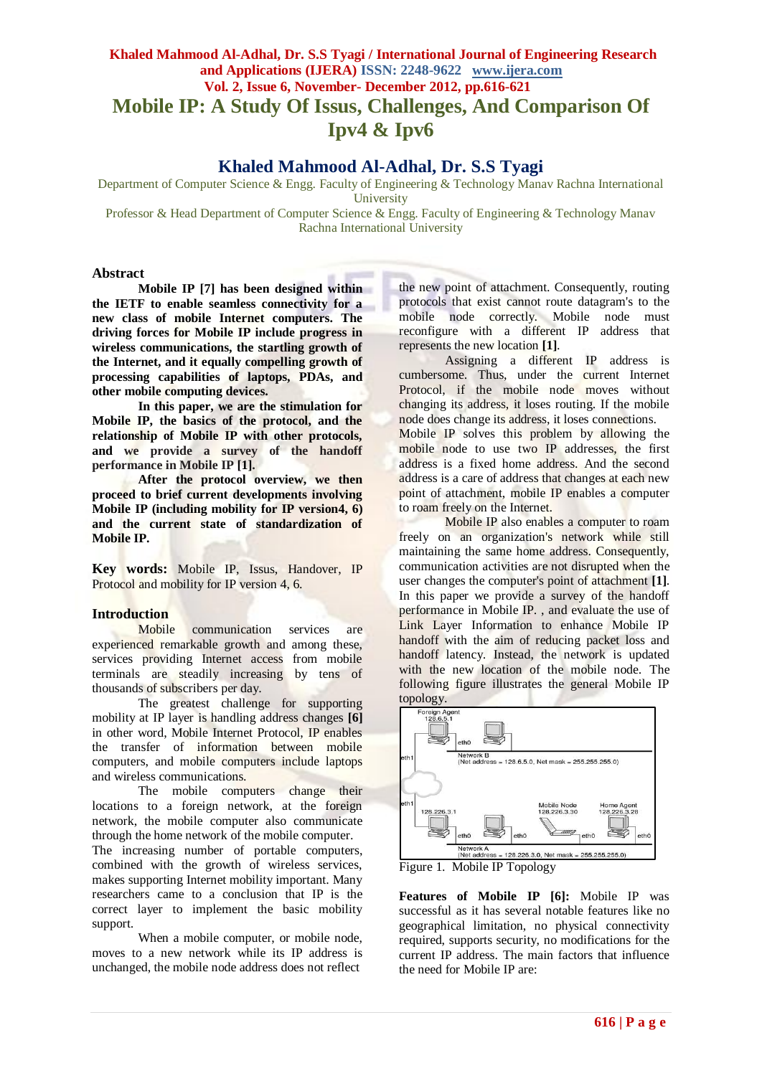## **Khaled Mahmood Al-Adhal, Dr. S.S Tyagi / International Journal of Engineering Research and Applications (IJERA) ISSN: 2248-9622 www.ijera.com Vol. 2, Issue 6, November- December 2012, pp.616-621 Mobile IP: A Study Of Issus, Challenges, And Comparison Of Ipv4 & Ipv6**

## **Khaled Mahmood Al-Adhal, Dr. S.S Tyagi**

Department of Computer Science & Engg. Faculty of Engineering & Technology Manav Rachna International **University** 

Professor & Head Department of Computer Science & Engg. Faculty of Engineering & Technology Manav Rachna International University

#### **Abstract**

**Mobile IP [7] has been designed within the IETF to enable seamless connectivity for a new class of mobile Internet computers. The driving forces for Mobile IP include progress in wireless communications, the startling growth of the Internet, and it equally compelling growth of processing capabilities of laptops, PDAs, and other mobile computing devices.** 

**In this paper, we are the stimulation for Mobile IP, the basics of the protocol, and the relationship of Mobile IP with other protocols, and we provide a survey of the handoff performance in Mobile IP [1].**

**After the protocol overview, we then proceed to brief current developments involving Mobile IP (including mobility for IP version4, 6) and the current state of standardization of Mobile IP.**

**Key words:** Mobile IP, Issus, Handover, IP Protocol and mobility for IP version 4, 6.

# **Introduction**

communication services are experienced remarkable growth and among these, services providing Internet access from mobile terminals are steadily increasing by tens of thousands of subscribers per day.

The greatest challenge for supporting mobility at IP layer is handling address changes **[6]** in other word, Mobile Internet Protocol, IP enables the transfer of information between mobile computers, and mobile computers include laptops and wireless communications.

The mobile computers change their locations to a foreign network, at the foreign network, the mobile computer also communicate through the home network of the mobile computer.

The increasing number of portable computers, combined with the growth of wireless services, makes supporting Internet mobility important. Many researchers came to a conclusion that IP is the correct layer to implement the basic mobility support.

When a mobile computer, or mobile node, moves to a new network while its IP address is unchanged, the mobile node address does not reflect

the new point of attachment. Consequently, routing protocols that exist cannot route datagram's to the mobile node correctly. Mobile node must reconfigure with a different IP address that represents the new location **[1]**.

Assigning a different IP address is cumbersome. Thus, under the current Internet Protocol, if the mobile node moves without changing its address, it loses routing. If the mobile node does change its address, it loses connections.

Mobile IP solves this problem by allowing the mobile node to use two IP addresses, the first address is a fixed home address. And the second address is a care of address that changes at each new point of attachment, mobile IP enables a computer to roam freely on the Internet.

Mobile IP also enables a computer to roam freely on an organization's network while still maintaining the same home address. Consequently, communication activities are not disrupted when the user changes the computer's point of attachment **[1]**. In this paper we provide a survey of the handoff performance in Mobile IP. , and evaluate the use of Link Layer Information to enhance Mobile IP handoff with the aim of reducing packet loss and handoff latency. Instead, the network is updated with the new location of the mobile node. The following figure illustrates the general Mobile IP topology.



Figure 1. Mobile IP Topology

**Features of Mobile IP [6]:** Mobile IP was successful as it has several notable features like no geographical limitation, no physical connectivity required, supports security, no modifications for the current IP address. The main factors that influence the need for Mobile IP are: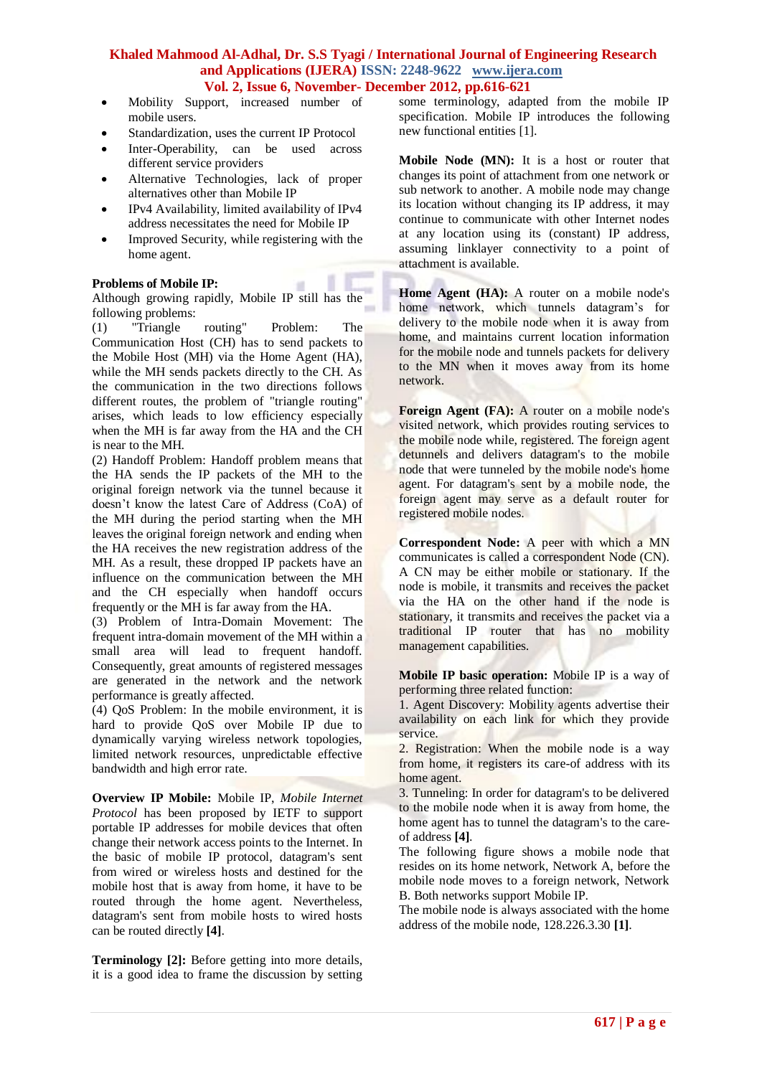п

 $\overline{a}$ 

- Mobility Support, increased number of mobile users.
- Standardization, uses the current IP Protocol
- Inter-Operability, can be used across different service providers
- Alternative Technologies, lack of proper alternatives other than Mobile IP
- IPv4 Availability, limited availability of IPv4 address necessitates the need for Mobile IP
- Improved Security, while registering with the home agent.

### **Problems of Mobile IP:**

Although growing rapidly, Mobile IP still has the following problems:

(1) "Triangle routing" Problem: The Communication Host (CH) has to send packets to the Mobile Host (MH) via the Home Agent (HA), while the MH sends packets directly to the CH. As the communication in the two directions follows different routes, the problem of "triangle routing" arises, which leads to low efficiency especially when the MH is far away from the HA and the CH is near to the MH.

(2) Handoff Problem: Handoff problem means that the HA sends the IP packets of the MH to the original foreign network via the tunnel because it doesn't know the latest Care of Address (CoA) of the MH during the period starting when the MH leaves the original foreign network and ending when the HA receives the new registration address of the MH. As a result, these dropped IP packets have an influence on the communication between the MH and the CH especially when handoff occurs frequently or the MH is far away from the HA.

(3) Problem of Intra-Domain Movement: The frequent intra-domain movement of the MH within a small area will lead to frequent handoff. Consequently, great amounts of registered messages are generated in the network and the network performance is greatly affected.

(4) QoS Problem: In the mobile environment, it is hard to provide QoS over Mobile IP due to dynamically varying wireless network topologies, limited network resources, unpredictable effective bandwidth and high error rate.

**Overview IP Mobile:** Mobile IP, *Mobile Internet Protocol* has been proposed by IETF to support portable IP addresses for mobile devices that often change their network access points to the Internet. In the basic of mobile IP protocol, datagram's sent from wired or wireless hosts and destined for the mobile host that is away from home, it have to be routed through the home agent. Nevertheless, datagram's sent from mobile hosts to wired hosts can be routed directly **[4]**.

**Terminology [2]:** Before getting into more details, it is a good idea to frame the discussion by setting some terminology, adapted from the mobile IP specification. Mobile IP introduces the following new functional entities [1].

**Mobile Node (MN):** It is a host or router that changes its point of attachment from one network or sub network to another. A mobile node may change its location without changing its IP address, it may continue to communicate with other Internet nodes at any location using its (constant) IP address, assuming linklayer connectivity to a point of attachment is available.

**Home Agent (HA):** A router on a mobile node's home network, which tunnels datagram's for delivery to the mobile node when it is away from home, and maintains current location information for the mobile node and tunnels packets for delivery to the MN when it moves away from its home network.

**Foreign Agent (FA):** A router on a mobile node's visited network, which provides routing services to the mobile node while, registered. The foreign agent detunnels and delivers datagram's to the mobile node that were tunneled by the mobile node's home agent. For datagram's sent by a mobile node, the foreign agent may serve as a default router for registered mobile nodes.

**Correspondent Node:** A peer with which a MN communicates is called a correspondent Node (CN). A CN may be either mobile or stationary. If the node is mobile, it transmits and receives the packet via the HA on the other hand if the node is stationary, it transmits and receives the packet via a traditional IP router that has no mobility management capabilities.

**Mobile IP basic operation:** Mobile IP is a way of performing three related function:

1. Agent Discovery: Mobility agents advertise their availability on each link for which they provide service.

2. Registration: When the mobile node is a way from home, it registers its care-of address with its home agent.

3. Tunneling: In order for datagram's to be delivered to the mobile node when it is away from home, the home agent has to tunnel the datagram's to the careof address **[4]**.

The following figure shows a mobile node that resides on its home network, Network A, before the mobile node moves to a foreign network, Network B. Both networks support Mobile IP.

The mobile node is always associated with the home address of the mobile node, 128.226.3.30 **[1]**.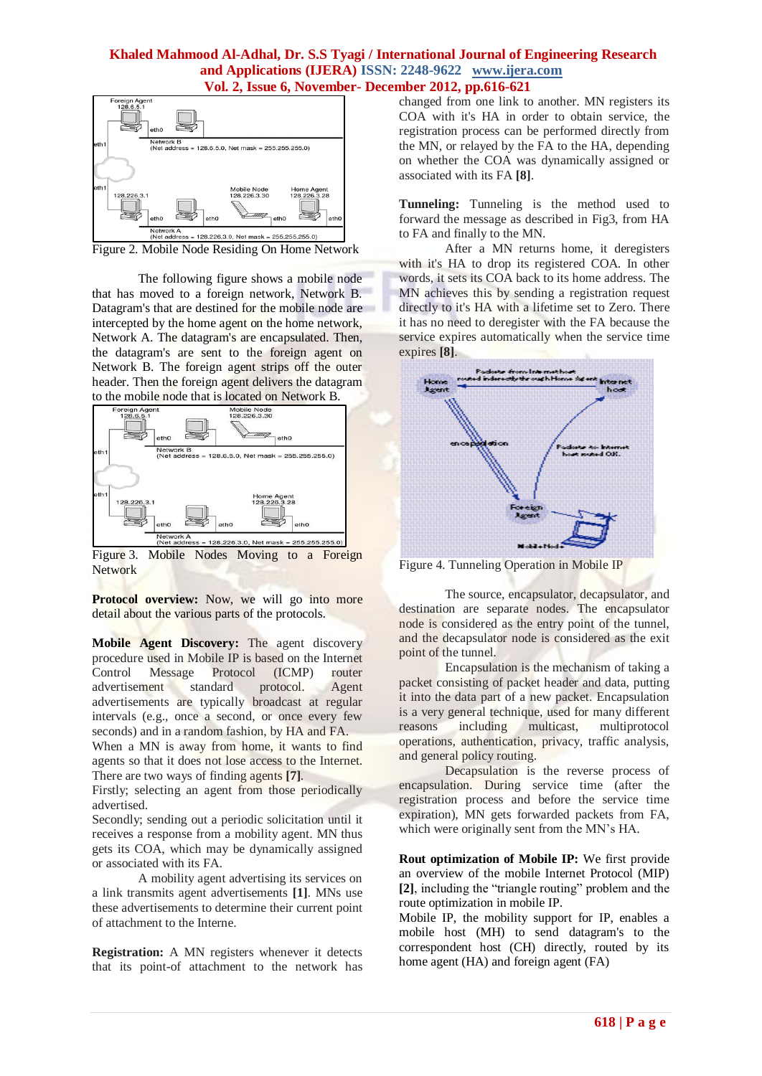

Figure 2. Mobile Node Residing On Home Network

The following figure shows a mobile node that has moved to a foreign network, Network B. Datagram's that are destined for the mobile node are intercepted by the home agent on the home network, Network A. The datagram's are encapsulated. Then, the datagram's are sent to the foreign agent on Network B. The foreign agent strips off the outer header. Then the foreign agent delivers the datagram to the mobile node that is located on Network B.



Figure 3. Mobile Nodes Moving to a Foreign Network

**Protocol overview:** Now, we will go into more detail about the various parts of the protocols.

**Mobile Agent Discovery:** The agent discovery procedure used in Mobile IP is based on the Internet Control Message Protocol (ICMP) router advertisement standard protocol. Agent advertisements are typically broadcast at regular intervals (e.g., once a second, or once every few seconds) and in a random fashion, by HA and FA.

When a MN is away from home, it wants to find agents so that it does not lose access to the Internet. There are two ways of finding agents **[7]**.

Firstly; selecting an agent from those periodically advertised.

Secondly; sending out a periodic solicitation until it receives a response from a mobility agent. MN thus gets its COA, which may be dynamically assigned or associated with its FA.

A mobility agent advertising its services on a link transmits agent advertisements **[1]**. MNs use these advertisements to determine their current point of attachment to the Interne.

**Registration:** A MN registers whenever it detects that its point-of attachment to the network has changed from one link to another. MN registers its COA with it's HA in order to obtain service, the registration process can be performed directly from the MN, or relayed by the FA to the HA, depending on whether the COA was dynamically assigned or associated with its FA **[8]**.

**Tunneling:** Tunneling is the method used to forward the message as described in Fig3, from HA to FA and finally to the MN.

After a MN returns home, it deregisters with it's HA to drop its registered COA. In other words, it sets its COA back to its home address. The MN achieves this by sending a registration request directly to it's HA with a lifetime set to Zero. There it has no need to deregister with the FA because the service expires automatically when the service time expires **[8]**.



Figure 4. Tunneling Operation in Mobile IP

The source, encapsulator, decapsulator, and destination are separate nodes. The encapsulator node is considered as the entry point of the tunnel, and the decapsulator node is considered as the exit point of the tunnel.

Encapsulation is the mechanism of taking a packet consisting of packet header and data, putting it into the data part of a new packet. Encapsulation is a very general technique, used for many different reasons including multicast, multiprotocol operations, authentication, privacy, traffic analysis, and general policy routing.

Decapsulation is the reverse process of encapsulation. During service time (after the registration process and before the service time expiration), MN gets forwarded packets from FA, which were originally sent from the MN's HA.

**Rout optimization of Mobile IP:** We first provide an overview of the mobile Internet Protocol (MIP) **[2]**, including the "triangle routing" problem and the route optimization in mobile IP.

Mobile IP, the mobility support for IP, enables a mobile host (MH) to send datagram's to the correspondent host (CH) directly, routed by its home agent (HA) and foreign agent (FA)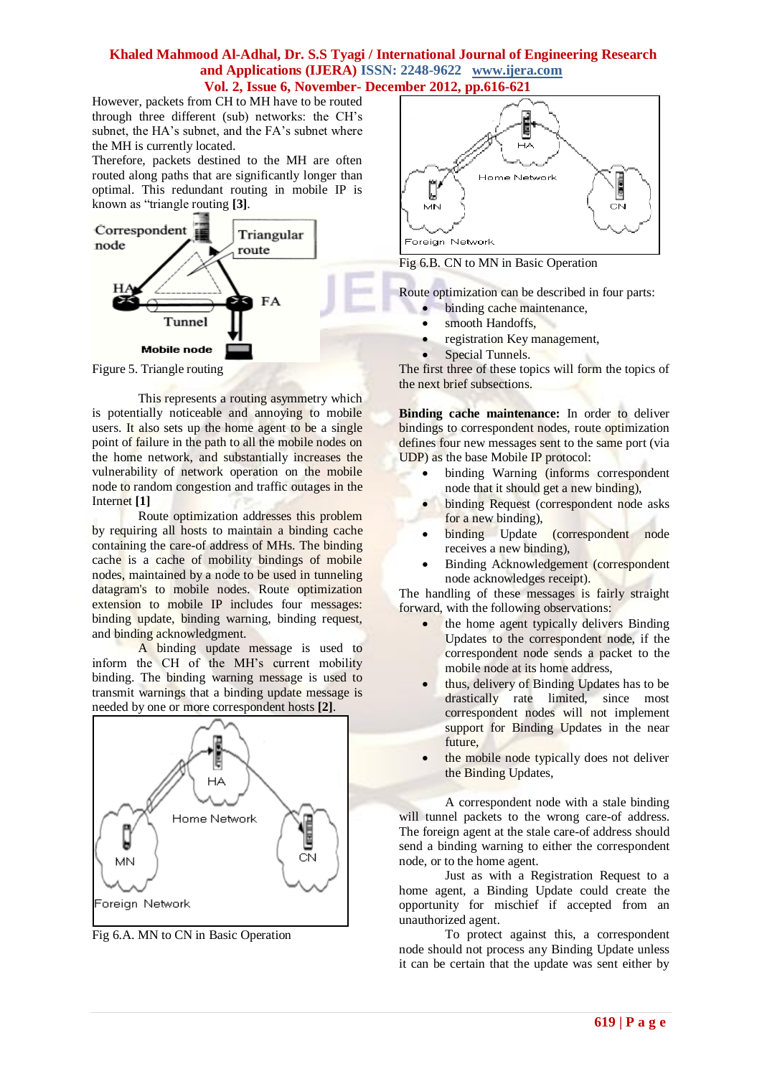However, packets from CH to MH have to be routed through three different (sub) networks: the CH's subnet, the HA's subnet, and the FA's subnet where the MH is currently located.

Therefore, packets destined to the MH are often routed along paths that are significantly longer than optimal. This redundant routing in mobile IP is known as "triangle routing **[3]**.



Figure 5. Triangle routing

This represents a routing asymmetry which is potentially noticeable and annoying to mobile users. It also sets up the home agent to be a single point of failure in the path to all the mobile nodes on the home network, and substantially increases the vulnerability of network operation on the mobile node to random congestion and traffic outages in the Internet **[1]**

Route optimization addresses this problem by requiring all hosts to maintain a binding cache containing the care-of address of MHs. The binding cache is a cache of mobility bindings of mobile nodes, maintained by a node to be used in tunneling datagram's to mobile nodes. Route optimization extension to mobile IP includes four messages: binding update, binding warning, binding request, and binding acknowledgment.

A binding update message is used to inform the CH of the MH's current mobility binding. The binding warning message is used to transmit warnings that a binding update message is needed by one or more correspondent hosts **[2]**.



Fig 6.A. MN to CN in Basic Operation



Fig 6.B. CN to MN in Basic Operation

Route optimization can be described in four parts:

- binding cache maintenance,
- smooth Handoffs,
- registration Key management,
- Special Tunnels.

The first three of these topics will form the topics of the next brief subsections.

**Binding cache maintenance:** In order to deliver bindings to correspondent nodes, route optimization defines four new messages sent to the same port (via UDP) as the base Mobile IP protocol:

- binding Warning (informs correspondent node that it should get a new binding),
- **•** binding Request (correspondent node asks for a new binding),
- binding Update (correspondent node receives a new binding),
- Binding Acknowledgement (correspondent node acknowledges receipt).

The handling of these messages is fairly straight forward, with the following observations:

- the home agent typically delivers Binding Updates to the correspondent node, if the correspondent node sends a packet to the mobile node at its home address,
- thus, delivery of Binding Updates has to be drastically rate limited, since most correspondent nodes will not implement support for Binding Updates in the near future,
- the mobile node typically does not deliver the Binding Updates,

A correspondent node with a stale binding will tunnel packets to the wrong care-of address. The foreign agent at the stale care-of address should send a binding warning to either the correspondent node, or to the home agent.

Just as with a Registration Request to a home agent, a Binding Update could create the opportunity for mischief if accepted from an unauthorized agent.

To protect against this, a correspondent node should not process any Binding Update unless it can be certain that the update was sent either by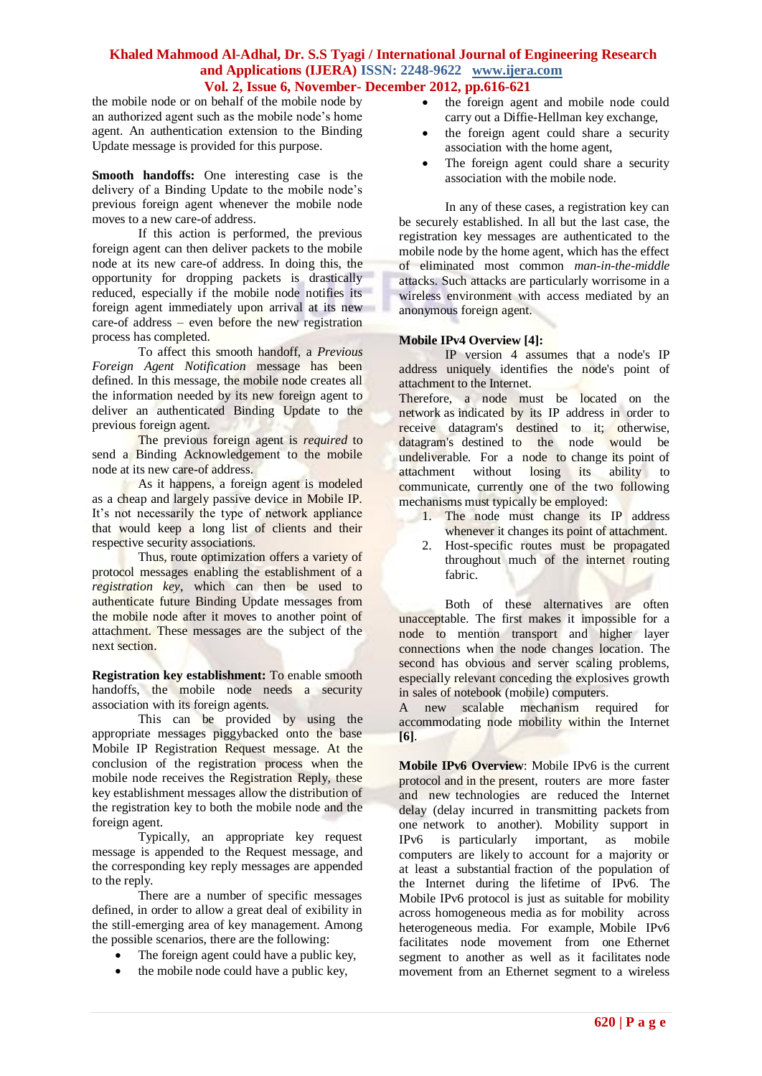the mobile node or on behalf of the mobile node by an authorized agent such as the mobile node's home agent. An authentication extension to the Binding Update message is provided for this purpose.

**Smooth handoffs:** One interesting case is the delivery of a Binding Update to the mobile node's previous foreign agent whenever the mobile node moves to a new care-of address.

If this action is performed, the previous foreign agent can then deliver packets to the mobile node at its new care-of address. In doing this, the opportunity for dropping packets is drastically reduced, especially if the mobile node notifies its foreign agent immediately upon arrival at its new care-of address – even before the new registration process has completed.

To affect this smooth handoff, a *Previous Foreign Agent Notification* message has been defined. In this message, the mobile node creates all the information needed by its new foreign agent to deliver an authenticated Binding Update to the previous foreign agent.

The previous foreign agent is *required* to send a Binding Acknowledgement to the mobile node at its new care-of address.

As it happens, a foreign agent is modeled as a cheap and largely passive device in Mobile IP. It's not necessarily the type of network appliance that would keep a long list of clients and their respective security associations.

Thus, route optimization offers a variety of protocol messages enabling the establishment of a *registration key*, which can then be used to authenticate future Binding Update messages from the mobile node after it moves to another point of attachment. These messages are the subject of the next section.

**Registration key establishment:** To enable smooth handoffs, the mobile node needs a security association with its foreign agents.

This can be provided by using the appropriate messages piggybacked onto the base Mobile IP Registration Request message. At the conclusion of the registration process when the mobile node receives the Registration Reply, these key establishment messages allow the distribution of the registration key to both the mobile node and the foreign agent.

Typically, an appropriate key request message is appended to the Request message, and the corresponding key reply messages are appended to the reply.

There are a number of specific messages defined, in order to allow a great deal of exibility in the still-emerging area of key management. Among the possible scenarios, there are the following:

- The foreign agent could have a public key,
- the mobile node could have a public key,
- the foreign agent and mobile node could carry out a Diffie-Hellman key exchange,
- the foreign agent could share a security association with the home agent,
- The foreign agent could share a security association with the mobile node.

In any of these cases, a registration key can be securely established. In all but the last case, the registration key messages are authenticated to the mobile node by the home agent, which has the effect of eliminated most common *man-in-the-middle*  attacks. Such attacks are particularly worrisome in a wireless environment with access mediated by an anonymous foreign agent.

### **Mobile IPv4 Overview [4]:**

IP version 4 assumes that a node's IP address uniquely identifies the node's point of attachment to the Internet.

Therefore, a node must be located on the network as indicated by its IP address in order to receive datagram's destined to it; otherwise, datagram's destined to the node would be undeliverable. For a node to change its point of attachment without losing its ability to communicate, currently one of the two following mechanisms must typically be employed:

- 1. The node must change its IP address whenever it changes its point of attachment.
- 2. Host-specific routes must be propagated throughout much of the internet routing fabric.

Both of these alternatives are often unacceptable. The first makes it impossible for a node to mention transport and higher layer connections when the node changes location. The second has obvious and server scaling problems, especially relevant conceding the explosives growth in sales of notebook (mobile) computers.

A new scalable mechanism required for accommodating node mobility within the Internet **[6]**.

**Mobile IPv6 Overview**: Mobile IPv6 is the current protocol and in the present, routers are more faster and new technologies are reduced the Internet delay (delay incurred in transmitting packets from one network to another). Mobility support in IPv6 is particularly important, as mobile computers are likely to account for a majority or at least a substantial fraction of the population of the Internet during the lifetime of IPv6. The Mobile IPv6 protocol is just as suitable for mobility across homogeneous media as for mobility across heterogeneous media. For example, Mobile IPv6 facilitates node movement from one Ethernet segment to another as well as it facilitates node movement from an Ethernet segment to a wireless